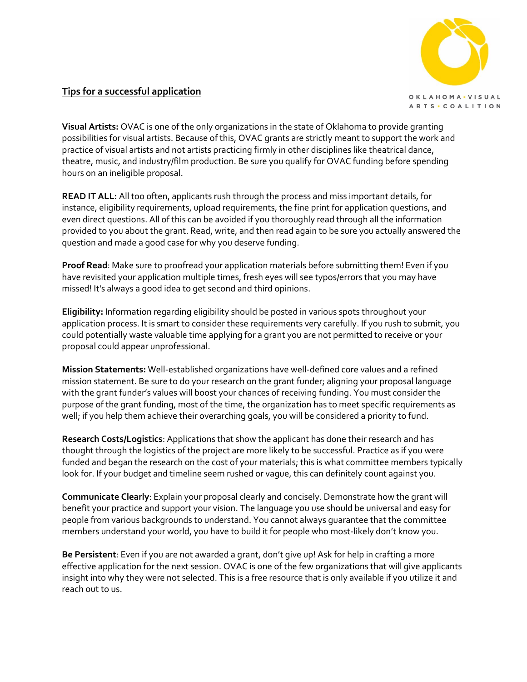

## **Tips for a successful application**

**Visual Artists:** OVAC is one of the only organizations in the state of Oklahoma to provide granting possibilities for visual artists. Because of this, OVAC grants are strictly meant to support the work and practice of visual artists and not artists practicing firmly in other disciplines like theatrical dance, theatre, music, and industry/film production. Be sure you qualify for OVAC funding before spending hours on an ineligible proposal.

**READ IT ALL:** All too often, applicants rush through the process and miss important details, for instance, eligibility requirements, upload requirements, the fine print for application questions, and even direct questions. All of this can be avoided if you thoroughly read through all the information provided to you about the grant. Read, write, and then read again to be sure you actually answered the question and made a good case for why you deserve funding.

**Proof Read**: Make sure to proofread your application materials before submitting them! Even if you have revisited your application multiple times, fresh eyes will see typos/errors that you may have missed! It's always a good idea to get second and third opinions.

**Eligibility:** Information regarding eligibility should be posted in various spots throughout your application process. It is smart to consider these requirements very carefully. If you rush to submit, you could potentially waste valuable time applying for a grant you are not permitted to receive or your proposal could appear unprofessional.

**Mission Statements:** Well-established organizations have well-defined core values and a refined mission statement. Be sure to do your research on the grant funder; aligning your proposal language with the grant funder's values will boost your chances of receiving funding. You must consider the purpose of the grant funding, most of the time, the organization has to meet specific requirements as well; if you help them achieve their overarching goals, you will be considered a priority to fund.

**Research Costs/Logistics**: Applications that show the applicant has done their research and has thought through the logistics of the project are more likely to be successful. Practice as if you were funded and began the research on the cost of your materials; this is what committee members typically look for. If your budget and timeline seem rushed or vague, this can definitely count against you.

**Communicate Clearly**: Explain your proposal clearly and concisely. Demonstrate how the grant will benefit your practice and support your vision. The language you use should be universal and easy for people from various backgrounds to understand. You cannot always guarantee that the committee members understand your world, you have to build it for people who most-likely don't know you.

**Be Persistent**: Even if you are not awarded a grant, don't give up! Ask for help in crafting a more effective application for the next session. OVAC is one of the few organizations that will give applicants insight into why they were not selected. This is a free resource that is only available if you utilize it and reach out to us.